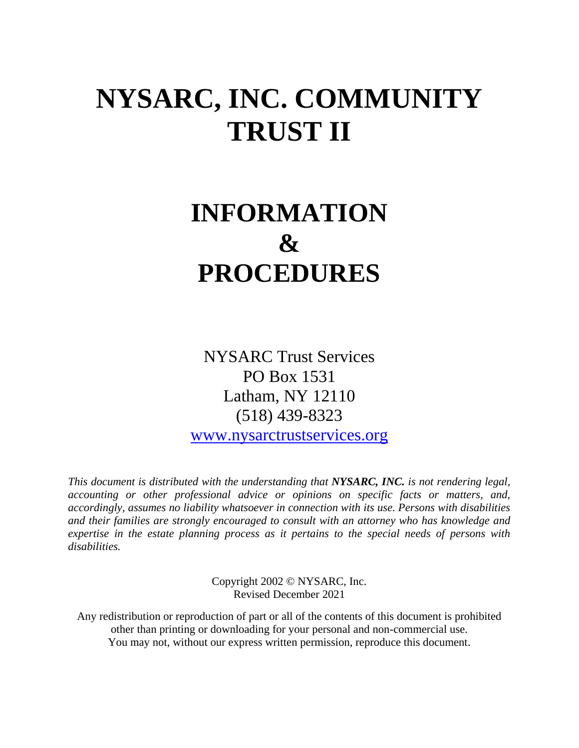# **NYSARC, INC. COMMUNITY TRUST II**

# **INFORMATION & PROCEDURES**

NYSARC Trust Services PO Box 1531 Latham, NY 12110 (518) 439-8323

[www.nysarctrustservices.org](http://www.nysarctrustservices.org/)

*This document is distributed with the understanding that NYSARC, INC. is not rendering legal, accounting or other professional advice or opinions on specific facts or matters, and, accordingly, assumes no liability whatsoever in connection with its use. Persons with disabilities and their families are strongly encouraged to consult with an attorney who has knowledge and expertise in the estate planning process as it pertains to the special needs of persons with disabilities.*

> Copyright 2002 © NYSARC, Inc. Revised December 2021

Any redistribution or reproduction of part or all of the contents of this document is prohibited other than printing or downloading for your personal and non-commercial use. You may not, without our express written permission, reproduce this document.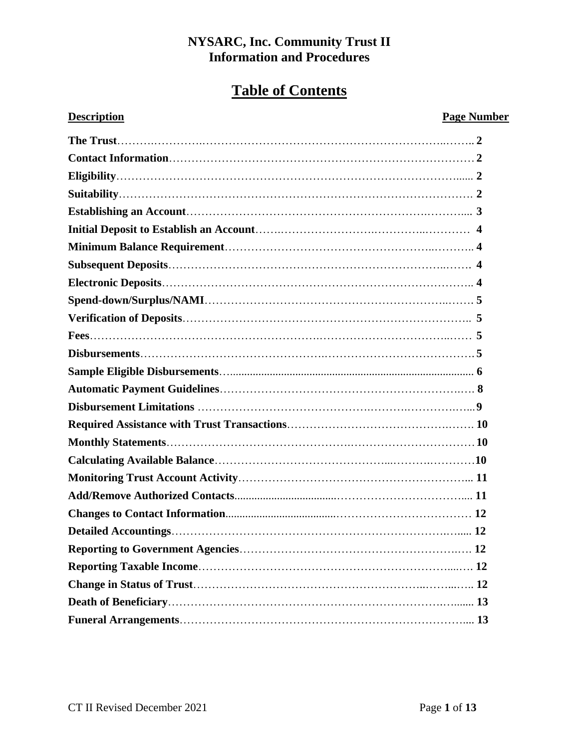# **Table of Contents**

# **Description Page Number**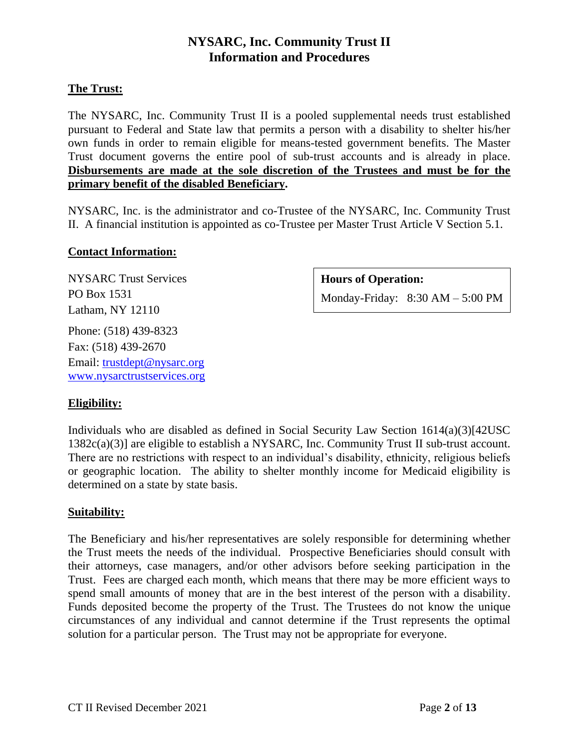# **The Trust:**

The NYSARC, Inc. Community Trust II is a pooled supplemental needs trust established pursuant to Federal and State law that permits a person with a disability to shelter his/her own funds in order to remain eligible for means-tested government benefits. The Master Trust document governs the entire pool of sub-trust accounts and is already in place. **Disbursements are made at the sole discretion of the Trustees and must be for the primary benefit of the disabled Beneficiary.** 

NYSARC, Inc. is the administrator and co-Trustee of the NYSARC, Inc. Community Trust II. A financial institution is appointed as co-Trustee per Master Trust Article V Section 5.1.

# **Contact Information:**

NYSARC Trust Services PO Box 1531 Latham, NY 12110 Phone: (518) 439-8323

Fax: (518) 439-2670 Email: [trustdept@nysarc.org](mailto:trustdept@nysarc.org) [www.nysarctrustservices.org](http://www.nysarctrustservices.org/)

# **Hours of Operation:**

Monday-Friday: 8:30 AM – 5:00 PM

# **Eligibility:**

Individuals who are disabled as defined in Social Security Law Section  $1614(a)(3)[42USC]$ 1382c(a)(3)] are eligible to establish a NYSARC, Inc. Community Trust II sub-trust account. There are no restrictions with respect to an individual's disability, ethnicity, religious beliefs or geographic location. The ability to shelter monthly income for Medicaid eligibility is determined on a state by state basis.

# **Suitability:**

The Beneficiary and his/her representatives are solely responsible for determining whether the Trust meets the needs of the individual. Prospective Beneficiaries should consult with their attorneys, case managers, and/or other advisors before seeking participation in the Trust. Fees are charged each month, which means that there may be more efficient ways to spend small amounts of money that are in the best interest of the person with a disability. Funds deposited become the property of the Trust. The Trustees do not know the unique circumstances of any individual and cannot determine if the Trust represents the optimal solution for a particular person. The Trust may not be appropriate for everyone.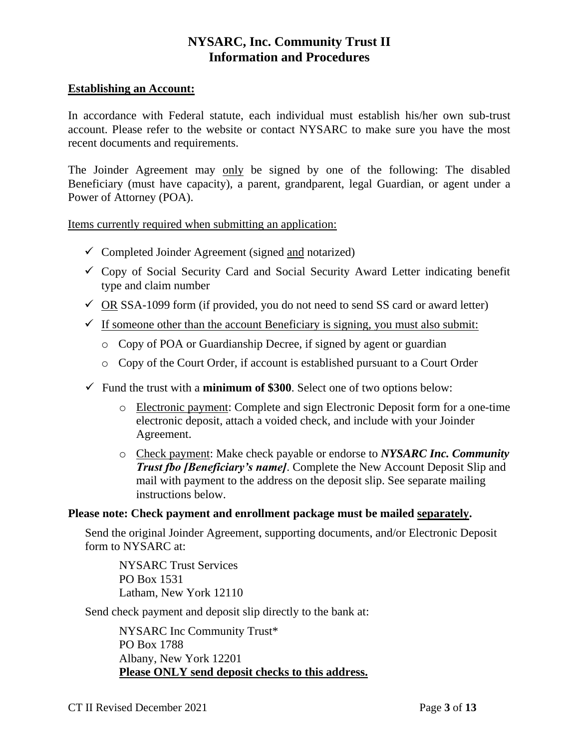#### **Establishing an Account:**

In accordance with Federal statute, each individual must establish his/her own sub-trust account. Please refer to the website or contact NYSARC to make sure you have the most recent documents and requirements.

The Joinder Agreement may only be signed by one of the following: The disabled Beneficiary (must have capacity), a parent, grandparent, legal Guardian, or agent under a Power of Attorney (POA).

Items currently required when submitting an application:

- $\checkmark$  Completed Joinder Agreement (signed and notarized)
- $\checkmark$  Copy of Social Security Card and Social Security Award Letter indicating benefit type and claim number
- $\checkmark$  OR SSA-1099 form (if provided, you do not need to send SS card or award letter)
- $\checkmark$  If someone other than the account Beneficiary is signing, you must also submit:
	- o Copy of POA or Guardianship Decree, if signed by agent or guardian
	- o Copy of the Court Order, if account is established pursuant to a Court Order
- $\checkmark$  Fund the trust with a **minimum of \$300**. Select one of two options below:
	- o Electronic payment: Complete and sign Electronic Deposit form for a one-time electronic deposit, attach a voided check, and include with your Joinder Agreement.
	- o Check payment: Make check payable or endorse to *NYSARC Inc. Community Trust fbo [Beneficiary's name]*. Complete the New Account Deposit Slip and mail with payment to the address on the deposit slip. See separate mailing instructions below.

# **Please note: Check payment and enrollment package must be mailed separately.**

Send the original Joinder Agreement, supporting documents, and/or Electronic Deposit form to NYSARC at:

NYSARC Trust Services PO Box 1531 Latham, New York 12110

Send check payment and deposit slip directly to the bank at:

NYSARC Inc Community Trust\* PO Box 1788 Albany, New York 12201 **Please ONLY send deposit checks to this address.**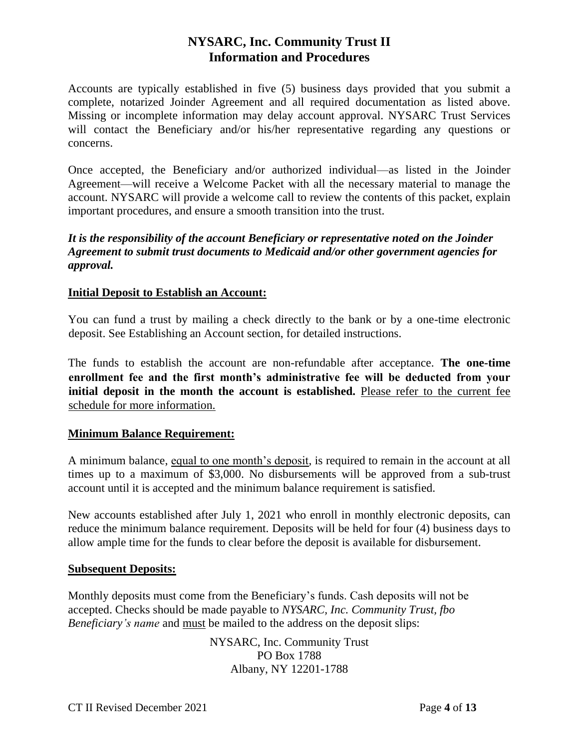Accounts are typically established in five (5) business days provided that you submit a complete, notarized Joinder Agreement and all required documentation as listed above. Missing or incomplete information may delay account approval. NYSARC Trust Services will contact the Beneficiary and/or his/her representative regarding any questions or concerns.

Once accepted, the Beneficiary and/or authorized individual—as listed in the Joinder Agreement—will receive a Welcome Packet with all the necessary material to manage the account. NYSARC will provide a welcome call to review the contents of this packet, explain important procedures, and ensure a smooth transition into the trust.

# *It is the responsibility of the account Beneficiary or representative noted on the Joinder Agreement to submit trust documents to Medicaid and/or other government agencies for approval.*

# **Initial Deposit to Establish an Account:**

You can fund a trust by mailing a check directly to the bank or by a one-time electronic deposit. See Establishing an Account section, for detailed instructions.

The funds to establish the account are non-refundable after acceptance. **The one-time enrollment fee and the first month's administrative fee will be deducted from your initial deposit in the month the account is established.** Please refer to the current fee schedule for more information.

# **Minimum Balance Requirement:**

A minimum balance, equal to one month's deposit, is required to remain in the account at all times up to a maximum of \$3,000. No disbursements will be approved from a sub-trust account until it is accepted and the minimum balance requirement is satisfied.

New accounts established after July 1, 2021 who enroll in monthly electronic deposits, can reduce the minimum balance requirement. Deposits will be held for four (4) business days to allow ample time for the funds to clear before the deposit is available for disbursement.

#### **Subsequent Deposits:**

Monthly deposits must come from the Beneficiary's funds. Cash deposits will not be accepted. Checks should be made payable to *NYSARC, Inc. Community Trust, fbo Beneficiary's name* and must be mailed to the address on the deposit slips:

> NYSARC, Inc. Community Trust PO Box 1788 Albany, NY 12201-1788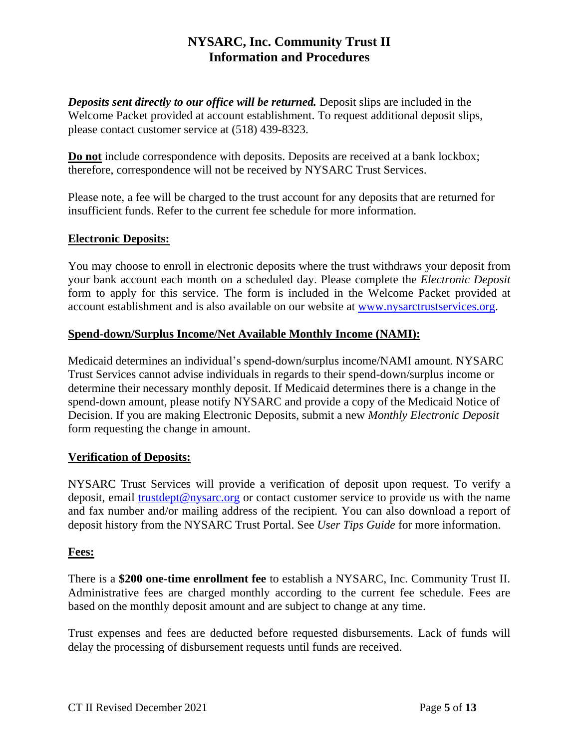*Deposits sent directly to our office will be returned.* Deposit slips are included in the Welcome Packet provided at account establishment. To request additional deposit slips, please contact customer service at (518) 439-8323.

**Do not** include correspondence with deposits. Deposits are received at a bank lockbox; therefore, correspondence will not be received by NYSARC Trust Services.

Please note, a fee will be charged to the trust account for any deposits that are returned for insufficient funds. Refer to the current fee schedule for more information.

# **Electronic Deposits:**

You may choose to enroll in electronic deposits where the trust withdraws your deposit from your bank account each month on a scheduled day. Please complete the *Electronic Deposit* form to apply for this service. The form is included in the Welcome Packet provided at account establishment and is also available on our website at [www.nysarctrustservices.org.](http://www.nysarctrustservices.org/)

# **Spend-down/Surplus Income/Net Available Monthly Income (NAMI):**

Medicaid determines an individual's spend-down/surplus income/NAMI amount. NYSARC Trust Services cannot advise individuals in regards to their spend-down/surplus income or determine their necessary monthly deposit. If Medicaid determines there is a change in the spend-down amount, please notify NYSARC and provide a copy of the Medicaid Notice of Decision. If you are making Electronic Deposits, submit a new *Monthly Electronic Deposit* form requesting the change in amount.

# **Verification of Deposits:**

NYSARC Trust Services will provide a verification of deposit upon request. To verify a deposit, email [trustdept@nysarc.org](mailto:trustdept@nysarc.org) or contact customer service to provide us with the name and fax number and/or mailing address of the recipient. You can also download a report of deposit history from the NYSARC Trust Portal. See *User Tips Guide* for more information.

# **Fees:**

There is a **\$200 one-time enrollment fee** to establish a NYSARC, Inc. Community Trust II. Administrative fees are charged monthly according to the current fee schedule. Fees are based on the monthly deposit amount and are subject to change at any time.

Trust expenses and fees are deducted before requested disbursements. Lack of funds will delay the processing of disbursement requests until funds are received.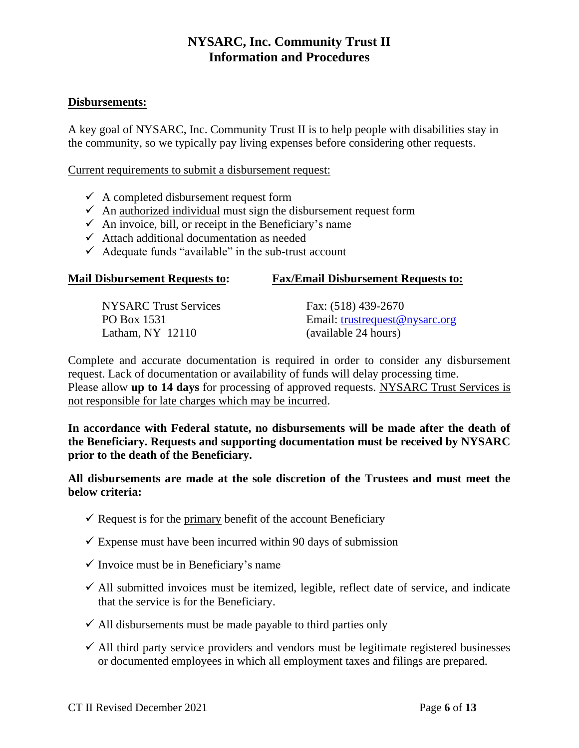# **Disbursements:**

A key goal of NYSARC, Inc. Community Trust II is to help people with disabilities stay in the community, so we typically pay living expenses before considering other requests.

Current requirements to submit a disbursement request:

- $\checkmark$  A completed disbursement request form
- $\checkmark$  An authorized individual must sign the disbursement request form
- $\checkmark$  An invoice, bill, or receipt in the Beneficiary's name
- $\checkmark$  Attach additional documentation as needed
- $\checkmark$  Adequate funds "available" in the sub-trust account

| NYSARC Trust Services | Fax: (518) 439-2670            |
|-----------------------|--------------------------------|
| PO Box 1531           | Email: trustrequest@nysarc.org |
| Latham, $NY$ 12110    | (available 24 hours)           |

**Mail Disbursement Requests to: Fax/Email Disbursement Requests to:**

Complete and accurate documentation is required in order to consider any disbursement request. Lack of documentation or availability of funds will delay processing time. Please allow **up to 14 days** for processing of approved requests. NYSARC Trust Services is not responsible for late charges which may be incurred.

**In accordance with Federal statute, no disbursements will be made after the death of the Beneficiary. Requests and supporting documentation must be received by NYSARC prior to the death of the Beneficiary.**

**All disbursements are made at the sole discretion of the Trustees and must meet the below criteria:**

- $\checkmark$  Request is for the primary benefit of the account Beneficiary
- $\checkmark$  Expense must have been incurred within 90 days of submission
- $\checkmark$  Invoice must be in Beneficiary's name
- $\checkmark$  All submitted invoices must be itemized, legible, reflect date of service, and indicate that the service is for the Beneficiary.
- $\checkmark$  All disbursements must be made payable to third parties only
- $\checkmark$  All third party service providers and vendors must be legitimate registered businesses or documented employees in which all employment taxes and filings are prepared.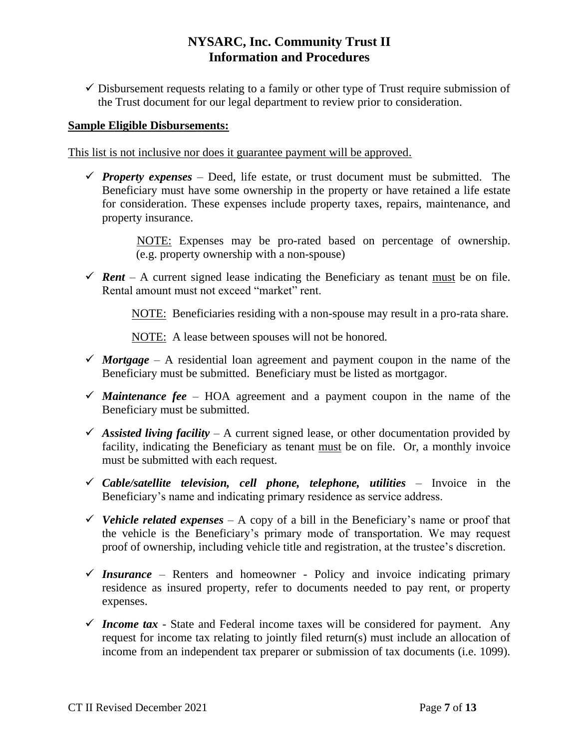$\checkmark$  Disbursement requests relating to a family or other type of Trust require submission of the Trust document for our legal department to review prior to consideration.

#### **Sample Eligible Disbursements:**

This list is not inclusive nor does it guarantee payment will be approved.

*Property expenses* – Deed, life estate, or trust document must be submitted. The Beneficiary must have some ownership in the property or have retained a life estate for consideration. These expenses include property taxes, repairs, maintenance, and property insurance.

> NOTE: Expenses may be pro-rated based on percentage of ownership. (e.g. property ownership with a non-spouse)

*Fent* – A current signed lease indicating the Beneficiary as tenant must be on file. Rental amount must not exceed "market" rent.

NOTE:Beneficiaries residing with a non-spouse may result in a pro-rata share.

NOTE: A lease between spouses will not be honored*.*

- $\checkmark$  *Mortgage* A residential loan agreement and payment coupon in the name of the Beneficiary must be submitted. Beneficiary must be listed as mortgagor.
- $\checkmark$  *Maintenance fee* HOA agreement and a payment coupon in the name of the Beneficiary must be submitted.
- $\checkmark$  Assisted living facility A current signed lease, or other documentation provided by facility, indicating the Beneficiary as tenant must be on file. Or, a monthly invoice must be submitted with each request.
- *Cable/satellite television, cell phone, telephone, utilities* Invoice in the Beneficiary's name and indicating primary residence as service address.
- *V* Vehicle related expenses A copy of a bill in the Beneficiary's name or proof that the vehicle is the Beneficiary's primary mode of transportation. We may request proof of ownership, including vehicle title and registration, at the trustee's discretion.
- $\checkmark$  Insurance Renters and homeowner Policy and invoice indicating primary residence as insured property, refer to documents needed to pay rent, or property expenses.
- $\checkmark$  Income tax State and Federal income taxes will be considered for payment. Any request for income tax relating to jointly filed return(s) must include an allocation of income from an independent tax preparer or submission of tax documents (i.e. 1099).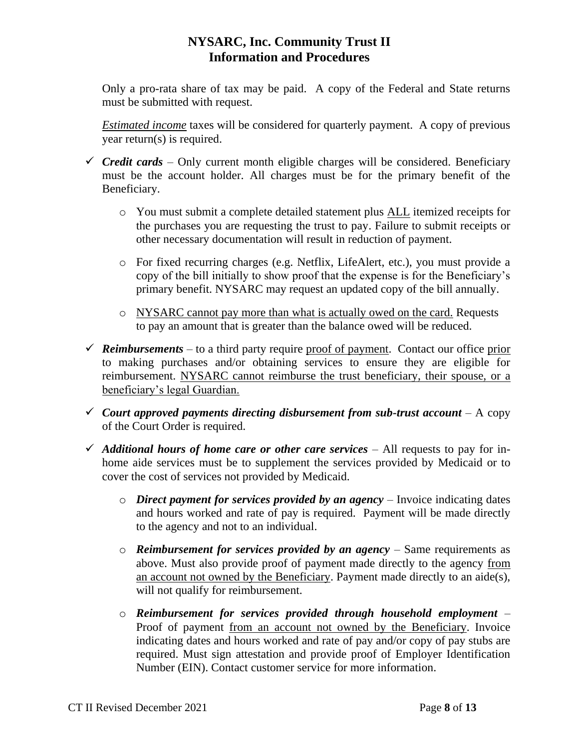Only a pro-rata share of tax may be paid. A copy of the Federal and State returns must be submitted with request.

*Estimated income* taxes will be considered for quarterly payment. A copy of previous year return(s) is required.

- $\checkmark$  *Credit cards* Only current month eligible charges will be considered. Beneficiary must be the account holder. All charges must be for the primary benefit of the Beneficiary.
	- o You must submit a complete detailed statement plus ALL itemized receipts for the purchases you are requesting the trust to pay. Failure to submit receipts or other necessary documentation will result in reduction of payment.
	- o For fixed recurring charges (e.g. Netflix, LifeAlert, etc.), you must provide a copy of the bill initially to show proof that the expense is for the Beneficiary's primary benefit. NYSARC may request an updated copy of the bill annually.
	- o NYSARC cannot pay more than what is actually owed on the card. Requests to pay an amount that is greater than the balance owed will be reduced.
- $\checkmark$  **Reimbursements** to a third party require proof of payment. Contact our office prior to making purchases and/or obtaining services to ensure they are eligible for reimbursement. NYSARC cannot reimburse the trust beneficiary, their spouse, or a beneficiary's legal Guardian.
- $\checkmark$  *Court approved payments directing disbursement from sub-trust account A copy* of the Court Order is required.
- $\checkmark$  Additional hours of home care or other care services All requests to pay for inhome aide services must be to supplement the services provided by Medicaid or to cover the cost of services not provided by Medicaid.
	- o *Direct payment for services provided by an agency –* Invoice indicating dates and hours worked and rate of pay is required. Payment will be made directly to the agency and not to an individual.
	- o *Reimbursement for services provided by an agency –* Same requirements as above. Must also provide proof of payment made directly to the agency from an account not owned by the Beneficiary. Payment made directly to an aide(s), will not qualify for reimbursement.
	- o *Reimbursement for services provided through household employment –* Proof of payment from an account not owned by the Beneficiary. Invoice indicating dates and hours worked and rate of pay and/or copy of pay stubs are required. Must sign attestation and provide proof of Employer Identification Number (EIN). Contact customer service for more information.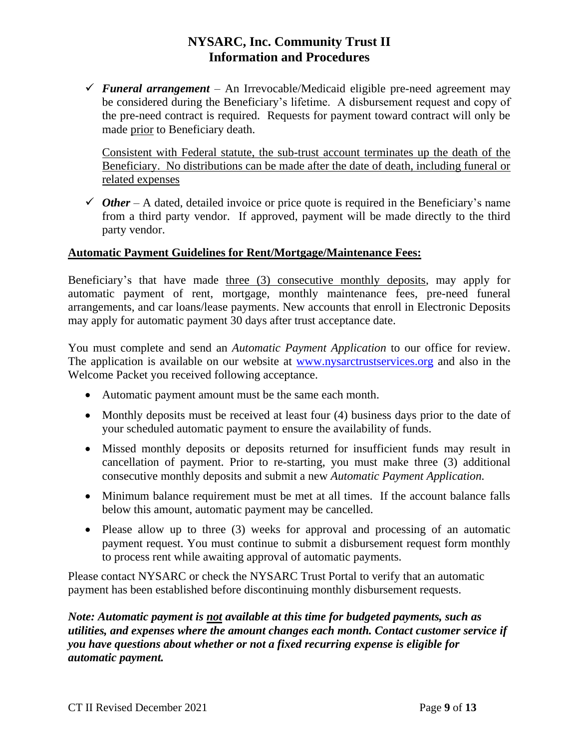*Funeral arrangement –* An Irrevocable/Medicaid eligible pre-need agreement may be considered during the Beneficiary's lifetime. A disbursement request and copy of the pre-need contract is required. Requests for payment toward contract will only be made prior to Beneficiary death.

Consistent with Federal statute, the sub-trust account terminates up the death of the Beneficiary. No distributions can be made after the date of death, including funeral or related expenses

 $\checkmark$  *Other* – A dated, detailed invoice or price quote is required in the Beneficiary's name from a third party vendor. If approved, payment will be made directly to the third party vendor.

# **Automatic Payment Guidelines for Rent/Mortgage/Maintenance Fees:**

Beneficiary's that have made three (3) consecutive monthly deposits, may apply for automatic payment of rent, mortgage, monthly maintenance fees, pre-need funeral arrangements, and car loans/lease payments. New accounts that enroll in Electronic Deposits may apply for automatic payment 30 days after trust acceptance date.

You must complete and send an *Automatic Payment Application* to our office for review. The application is available on our website at [www.nysarctrustservices.org](http://www.nysarctrustservices.org/) and also in the Welcome Packet you received following acceptance.

- Automatic payment amount must be the same each month.
- Monthly deposits must be received at least four (4) business days prior to the date of your scheduled automatic payment to ensure the availability of funds.
- Missed monthly deposits or deposits returned for insufficient funds may result in cancellation of payment. Prior to re-starting, you must make three (3) additional consecutive monthly deposits and submit a new *Automatic Payment Application.*
- Minimum balance requirement must be met at all times. If the account balance falls below this amount, automatic payment may be cancelled.
- Please allow up to three (3) weeks for approval and processing of an automatic payment request. You must continue to submit a disbursement request form monthly to process rent while awaiting approval of automatic payments.

Please contact NYSARC or check the NYSARC Trust Portal to verify that an automatic payment has been established before discontinuing monthly disbursement requests.

*Note: Automatic payment is not available at this time for budgeted payments, such as utilities, and expenses where the amount changes each month. Contact customer service if you have questions about whether or not a fixed recurring expense is eligible for automatic payment.*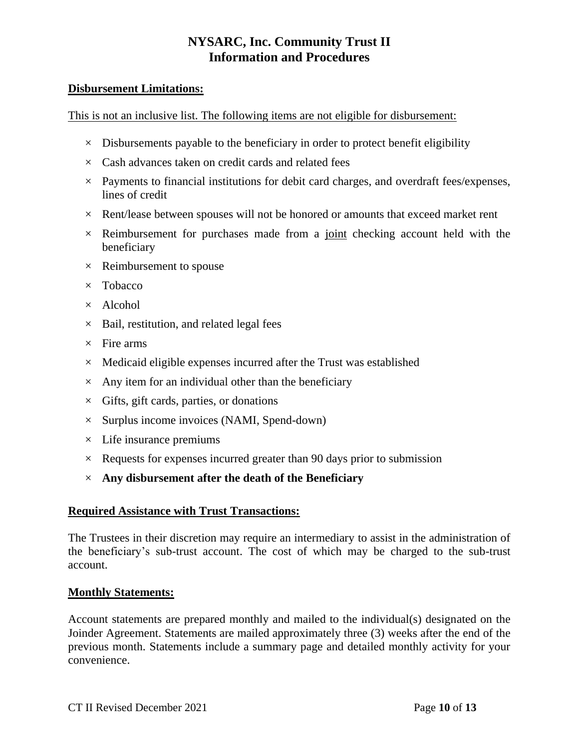#### **Disbursement Limitations:**

This is not an inclusive list. The following items are not eligible for disbursement:

- $\times$  Disbursements payable to the beneficiary in order to protect benefit eligibility
- $\times$  Cash advances taken on credit cards and related fees
- $\times$  Payments to financial institutions for debit card charges, and overdraft fees/expenses, lines of credit
- $\times$  Rent/lease between spouses will not be honored or amounts that exceed market rent
- $\times$  Reimbursement for purchases made from a joint checking account held with the beneficiary
- $\times$  Reimbursement to spouse
- × Tobacco
- $\times$  Alcohol
- $\times$  Bail, restitution, and related legal fees
- $\times$  Fire arms
- $\times$  Medicaid eligible expenses incurred after the Trust was established
- $\times$  Any item for an individual other than the beneficiary
- $\times$  Gifts, gift cards, parties, or donations
- $\times$  Surplus income invoices (NAMI, Spend-down)
- $\times$  Life insurance premiums
- $\times$  Requests for expenses incurred greater than 90 days prior to submission
- × **Any disbursement after the death of the Beneficiary**

#### **Required Assistance with Trust Transactions:**

The Trustees in their discretion may require an intermediary to assist in the administration of the beneficiary's sub-trust account. The cost of which may be charged to the sub-trust account.

#### **Monthly Statements:**

Account statements are prepared monthly and mailed to the individual(s) designated on the Joinder Agreement. Statements are mailed approximately three (3) weeks after the end of the previous month. Statements include a summary page and detailed monthly activity for your convenience.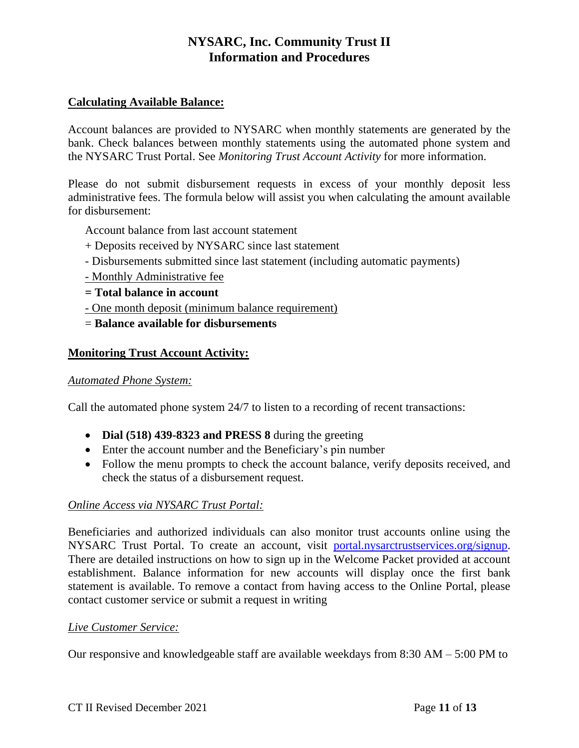# **Calculating Available Balance:**

Account balances are provided to NYSARC when monthly statements are generated by the bank. Check balances between monthly statements using the automated phone system and the NYSARC Trust Portal. See *Monitoring Trust Account Activity* for more information.

Please do not submit disbursement requests in excess of your monthly deposit less administrative fees. The formula below will assist you when calculating the amount available for disbursement:

Account balance from last account statement

- + Deposits received by NYSARC since last statement
- Disbursements submitted since last statement (including automatic payments)
- Monthly Administrative fee
- **= Total balance in account**
- One month deposit (minimum balance requirement)
- = **Balance available for disbursements**

# **Monitoring Trust Account Activity:**

#### *Automated Phone System:*

Call the automated phone system 24/7 to listen to a recording of recent transactions:

- **Dial (518) 439-8323 and PRESS 8** during the greeting
- Enter the account number and the Beneficiary's pin number
- Follow the menu prompts to check the account balance, verify deposits received, and check the status of a disbursement request.

# *Online Access via NYSARC Trust Portal:*

Beneficiaries and authorized individuals can also monitor trust accounts online using the NYSARC Trust Portal. To create an account, visit [portal.nysarctrustservices.org/signup.](https://portal.nysarctrustservices.org/signup) There are detailed instructions on how to sign up in the Welcome Packet provided at account establishment. Balance information for new accounts will display once the first bank statement is available. To remove a contact from having access to the Online Portal, please contact customer service or submit a request in writing

# *Live Customer Service:*

Our responsive and knowledgeable staff are available weekdays from 8:30 AM – 5:00 PM to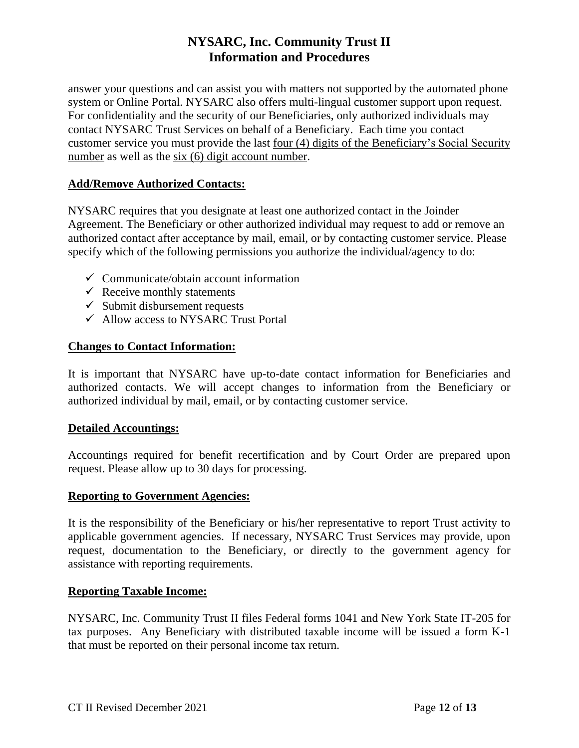answer your questions and can assist you with matters not supported by the automated phone system or Online Portal. NYSARC also offers multi-lingual customer support upon request. For confidentiality and the security of our Beneficiaries, only authorized individuals may contact NYSARC Trust Services on behalf of a Beneficiary. Each time you contact customer service you must provide the last four (4) digits of the Beneficiary's Social Security number as well as the six (6) digit account number.

# **Add/Remove Authorized Contacts:**

NYSARC requires that you designate at least one authorized contact in the Joinder Agreement. The Beneficiary or other authorized individual may request to add or remove an authorized contact after acceptance by mail, email, or by contacting customer service. Please specify which of the following permissions you authorize the individual/agency to do:

- $\checkmark$  Communicate/obtain account information
- $\checkmark$  Receive monthly statements
- $\checkmark$  Submit disbursement requests
- $\checkmark$  Allow access to NYSARC Trust Portal

# **Changes to Contact Information:**

It is important that NYSARC have up-to-date contact information for Beneficiaries and authorized contacts. We will accept changes to information from the Beneficiary or authorized individual by mail, email, or by contacting customer service.

# **Detailed Accountings:**

Accountings required for benefit recertification and by Court Order are prepared upon request. Please allow up to 30 days for processing.

#### **Reporting to Government Agencies:**

It is the responsibility of the Beneficiary or his/her representative to report Trust activity to applicable government agencies. If necessary, NYSARC Trust Services may provide, upon request, documentation to the Beneficiary, or directly to the government agency for assistance with reporting requirements.

# **Reporting Taxable Income:**

NYSARC, Inc. Community Trust II files Federal forms 1041 and New York State IT-205 for tax purposes. Any Beneficiary with distributed taxable income will be issued a form K-1 that must be reported on their personal income tax return.